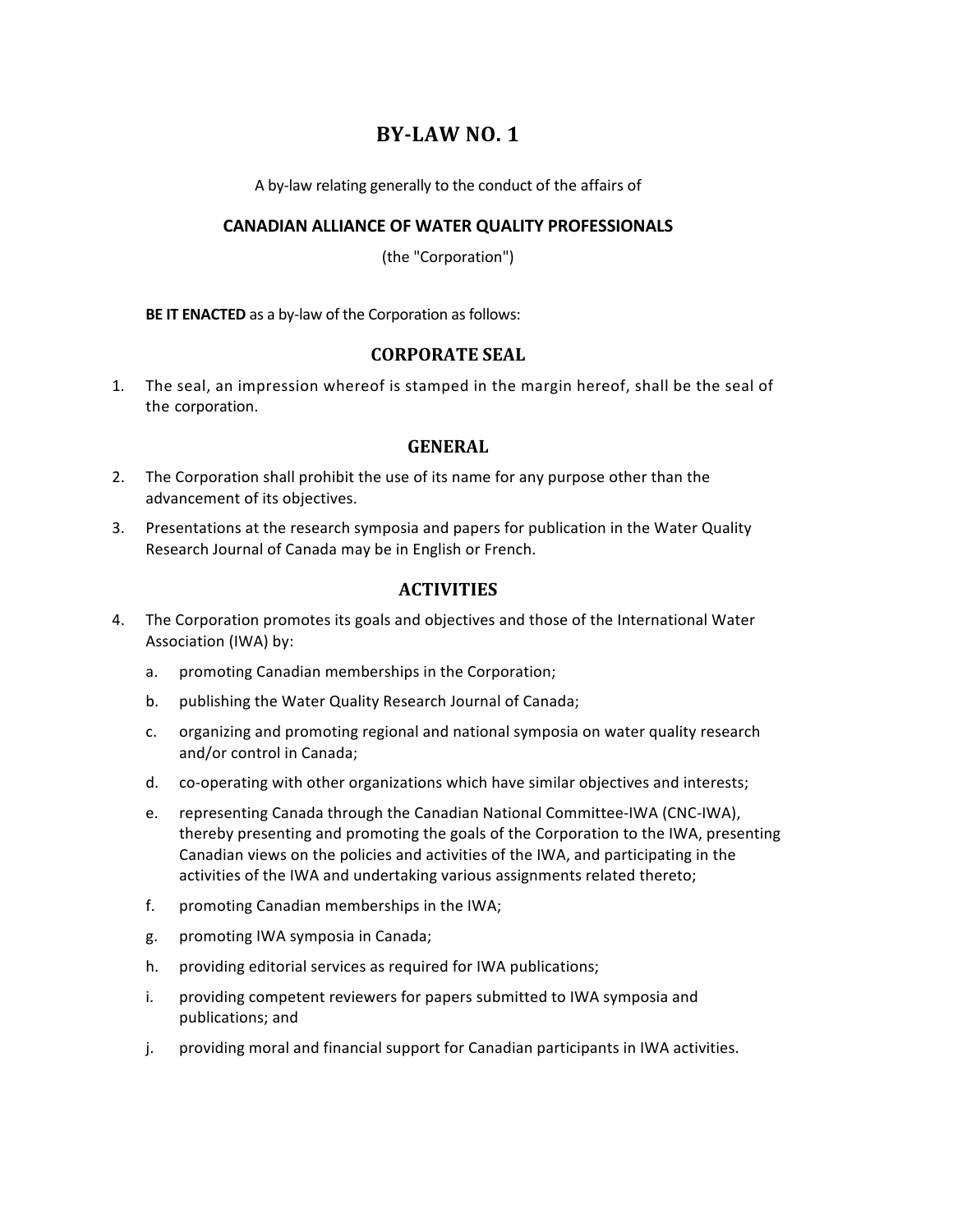# **BY-LAW NO. 1**

A by-law relating generally to the conduct of the affairs of

#### **CANADIAN ALLIANCE OF WATER QUALITY PROFESSIONALS**

(the "Corporation")

**BE IT ENACTED** as a by-law of the Corporation as follows:

# **CORPORATE'SEAL**

1. The seal, an impression whereof is stamped in the margin hereof, shall be the seal of the corporation.

#### **GENERAL**

- 2. The Corporation shall prohibit the use of its name for any purpose other than the advancement of its objectives.
- 3. Presentations at the research symposia and papers for publication in the Water Quality Research Journal of Canada may be in English or French.

# **ACTIVITIES**

- 4. The Corporation promotes its goals and objectives and those of the International Water Association (IWA) by:
	- a. promoting Canadian memberships in the Corporation;
	- b. publishing the Water Quality Research Journal of Canada;
	- c. organizing and promoting regional and national symposia on water quality research and/or control in Canada;
	- d. co-operating with other organizations which have similar objectives and interests;
	- e. representing Canada through the Canadian National Committee-IWA (CNC-IWA), thereby presenting and promoting the goals of the Corporation to the IWA, presenting Canadian views on the policies and activities of the IWA, and participating in the activities of the IWA and undertaking various assignments related thereto;
	- f. promoting Canadian memberships in the IWA;
	- g. promoting IWA symposia in Canada;
	- h. providing editorial services as required for IWA publications;
	- i. providing competent reviewers for papers submitted to IWA symposia and publications; and
	- j. providing moral and financial support for Canadian participants in IWA activities.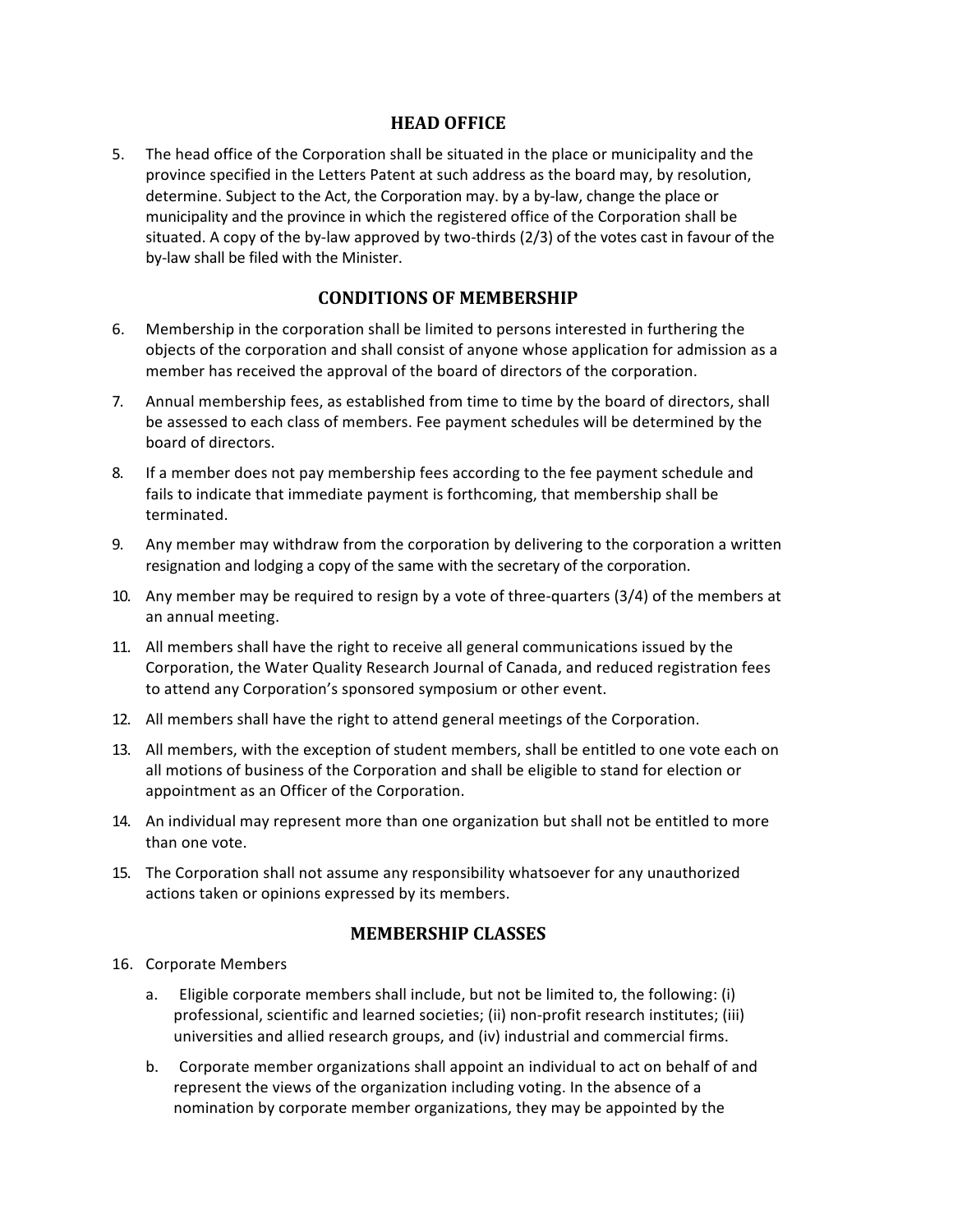# **HEAD'OFFICE**

5. The head office of the Corporation shall be situated in the place or municipality and the province specified in the Letters Patent at such address as the board may, by resolution, determine. Subject to the Act, the Corporation may. by a by-law, change the place or municipality and the province in which the registered office of the Corporation shall be situated. A copy of the by-law approved by two-thirds ( $2/3$ ) of the votes cast in favour of the by-law shall be filed with the Minister.

# **CONDITIONS'OF'MEMBERSHIP**

- 6. Membership in the corporation shall be limited to persons interested in furthering the objects of the corporation and shall consist of anyone whose application for admission as a member has received the approval of the board of directors of the corporation.
- 7. Annual membership fees, as established from time to time by the board of directors, shall be assessed to each class of members. Fee payment schedules will be determined by the board of directors.
- 8. If a member does not pay membership fees according to the fee payment schedule and fails to indicate that immediate payment is forthcoming, that membership shall be terminated.
- 9. Any member may withdraw from the corporation by delivering to the corporation a written resignation and lodging a copy of the same with the secretary of the corporation.
- 10. Any member may be required to resign by a vote of three-quarters (3/4) of the members at an annual meeting.
- 11. All members shall have the right to receive all general communications issued by the Corporation, the Water Quality Research Journal of Canada, and reduced registration fees to attend any Corporation's sponsored symposium or other event.
- 12. All members shall have the right to attend general meetings of the Corporation.
- 13. All members, with the exception of student members, shall be entitled to one vote each on all motions of business of the Corporation and shall be eligible to stand for election or appointment as an Officer of the Corporation.
- 14. An individual may represent more than one organization but shall not be entitled to more than one vote.
- 15. The Corporation shall not assume any responsibility whatsoever for any unauthorized actions taken or opinions expressed by its members.

# **MEMBERSHIP'CLASSES**

- 16. Corporate Members
	- a. Eligible corporate members shall include, but not be limited to, the following: (i) professional, scientific and learned societies; (ii) non-profit research institutes; (iii) universities and allied research groups, and (iv) industrial and commercial firms.
	- b. Corporate member organizations shall appoint an individual to act on behalf of and represent the views of the organization including voting. In the absence of a nomination by corporate member organizations, they may be appointed by the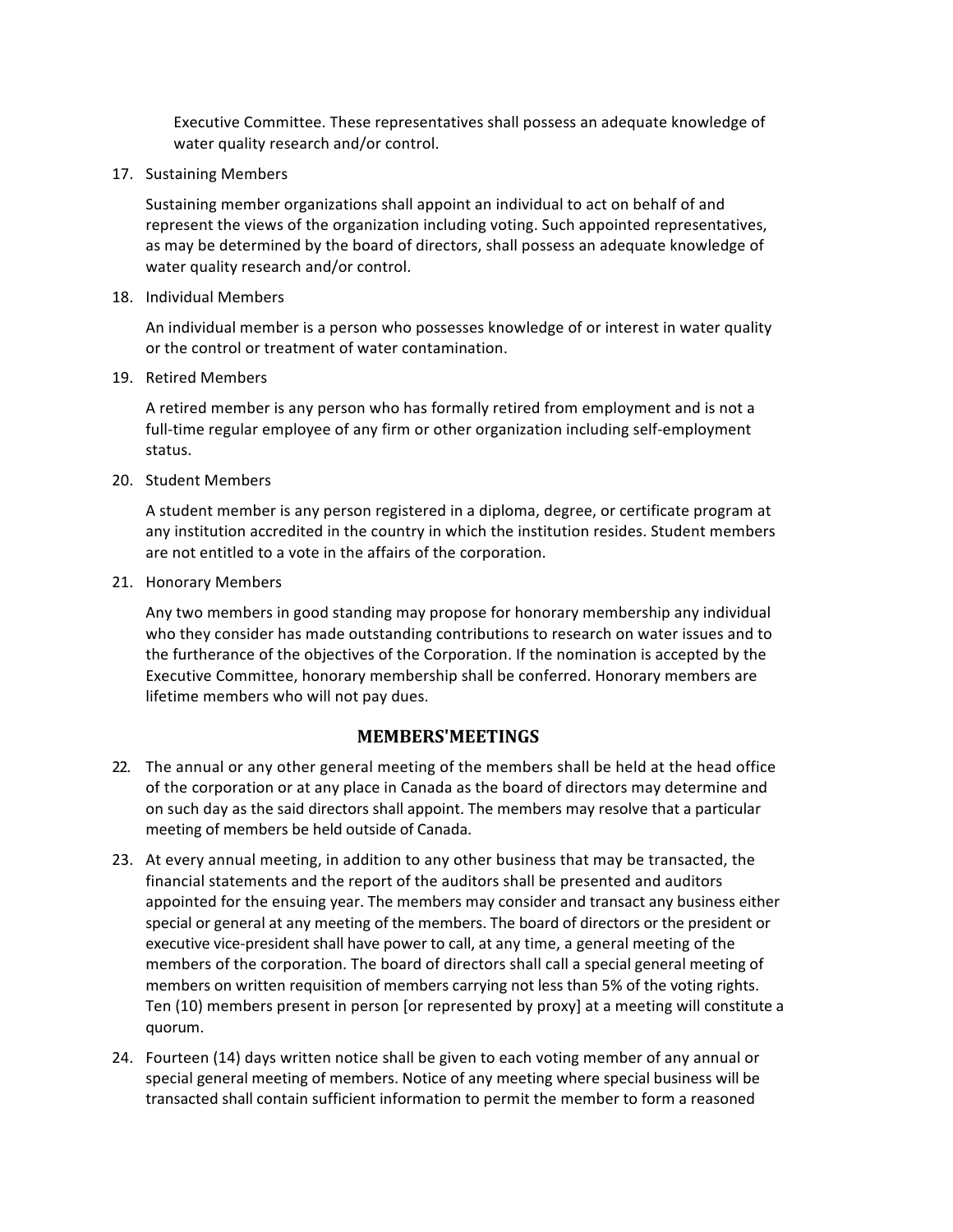Executive Committee. These representatives shall possess an adequate knowledge of water quality research and/or control.

17. Sustaining Members

Sustaining member organizations shall appoint an individual to act on behalf of and represent the views of the organization including voting. Such appointed representatives, as may be determined by the board of directors, shall possess an adequate knowledge of water quality research and/or control.

18. Individual Members

An individual member is a person who possesses knowledge of or interest in water quality or the control or treatment of water contamination.

19. Retired Members

A retired member is any person who has formally retired from employment and is not a full-time regular employee of any firm or other organization including self-employment status.

20. Student Members

A student member is any person registered in a diploma, degree, or certificate program at any institution accredited in the country in which the institution resides. Student members are not entitled to a vote in the affairs of the corporation.

21. Honorary Members

Any two members in good standing may propose for honorary membership any individual who they consider has made outstanding contributions to research on water issues and to the furtherance of the objectives of the Corporation. If the nomination is accepted by the Executive Committee, honorary membership shall be conferred. Honorary members are lifetime members who will not pay dues.

# **MEMBERS'MEETINGS**

- 22. The annual or any other general meeting of the members shall be held at the head office of the corporation or at any place in Canada as the board of directors may determine and on such day as the said directors shall appoint. The members may resolve that a particular meeting of members be held outside of Canada.
- 23. At every annual meeting, in addition to any other business that may be transacted, the financial statements and the report of the auditors shall be presented and auditors appointed for the ensuing year. The members may consider and transact any business either special or general at any meeting of the members. The board of directors or the president or executive vice-president shall have power to call, at any time, a general meeting of the members of the corporation. The board of directors shall call a special general meeting of members on written requisition of members carrying not less than 5% of the voting rights. Ten (10) members present in person [or represented by proxy] at a meeting will constitute a quorum.
- 24. Fourteen (14) days written notice shall be given to each voting member of any annual or special general meeting of members. Notice of any meeting where special business will be transacted shall contain sufficient information to permit the member to form a reasoned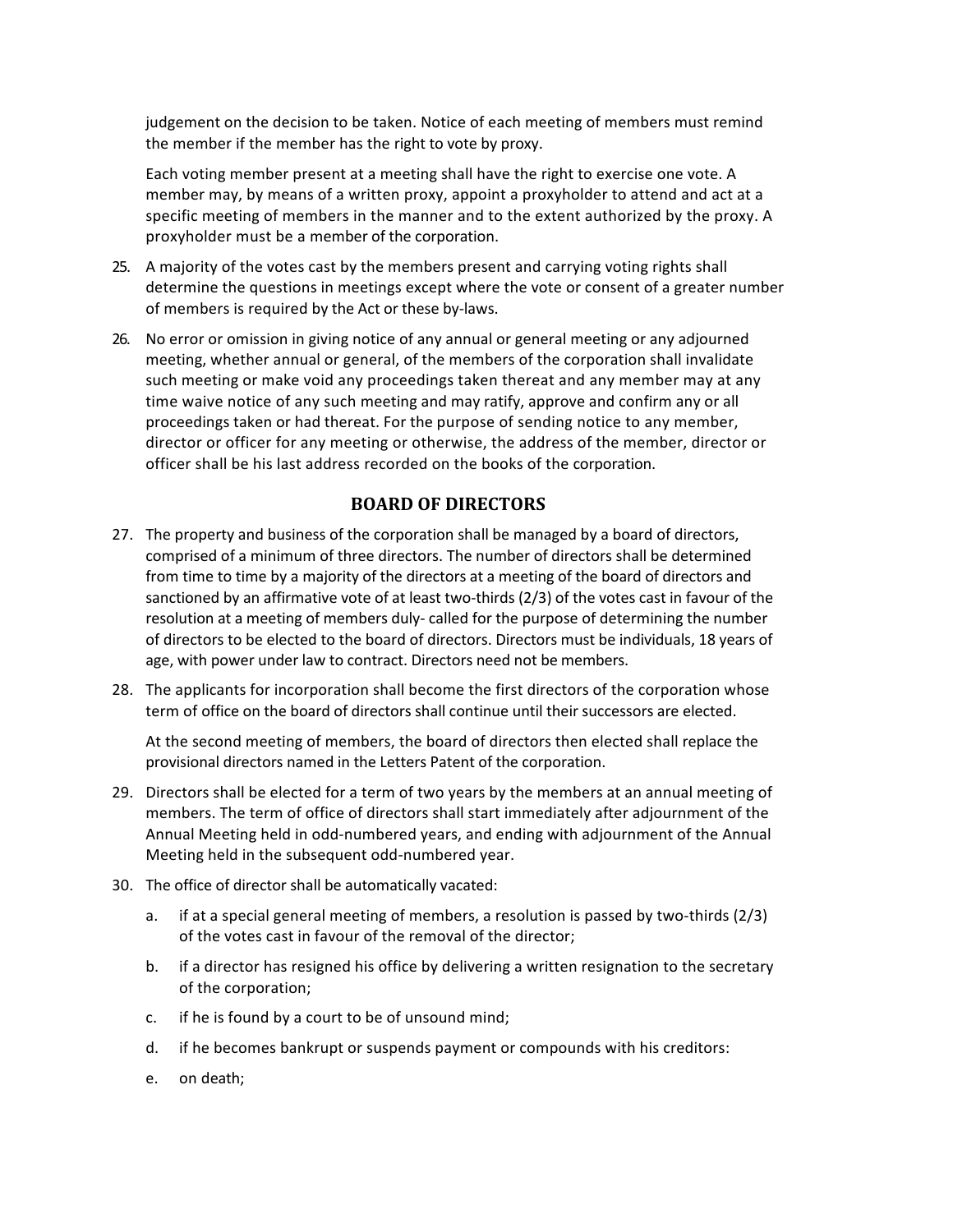judgement on the decision to be taken. Notice of each meeting of members must remind the member if the member has the right to vote by proxy.

Each voting member present at a meeting shall have the right to exercise one vote. A member may, by means of a written proxy, appoint a proxyholder to attend and act at a specific meeting of members in the manner and to the extent authorized by the proxy. A proxyholder must be a member of the corporation.

- 25. A majority of the votes cast by the members present and carrying voting rights shall determine the questions in meetings except where the vote or consent of a greater number of members is required by the Act or these by-laws.
- 26. No error or omission in giving notice of any annual or general meeting or any adjourned meeting, whether annual or general, of the members of the corporation shall invalidate such meeting or make void any proceedings taken thereat and any member may at any time waive notice of any such meeting and may ratify, approve and confirm any or all proceedings taken or had thereat. For the purpose of sending notice to any member, director or officer for any meeting or otherwise, the address of the member, director or officer shall be his last address recorded on the books of the corporation.

# **BOARD'OF'DIRECTORS**

- 27. The property and business of the corporation shall be managed by a board of directors, comprised of a minimum of three directors. The number of directors shall be determined from time to time by a majority of the directors at a meeting of the board of directors and sanctioned by an affirmative vote of at least two-thirds (2/3) of the votes cast in favour of the resolution at a meeting of members duly- called for the purpose of determining the number of directors to be elected to the board of directors. Directors must be individuals, 18 years of age, with power under law to contract. Directors need not be members.
- 28. The applicants for incorporation shall become the first directors of the corporation whose term of office on the board of directors shall continue until their successors are elected.

At the second meeting of members, the board of directors then elected shall replace the provisional directors named in the Letters Patent of the corporation.

- 29. Directors shall be elected for a term of two years by the members at an annual meeting of members. The term of office of directors shall start immediately after adjournment of the Annual Meeting held in odd-numbered years, and ending with adjournment of the Annual Meeting held in the subsequent odd-numbered year.
- 30. The office of director shall be automatically vacated:
	- a. if at a special general meeting of members, a resolution is passed by two-thirds  $(2/3)$ of the votes cast in favour of the removal of the director;
	- b. if a director has resigned his office by delivering a written resignation to the secretary of the corporation;
	- c. if he is found by a court to be of unsound mind;
	- d. if he becomes bankrupt or suspends payment or compounds with his creditors:
	- e. on death;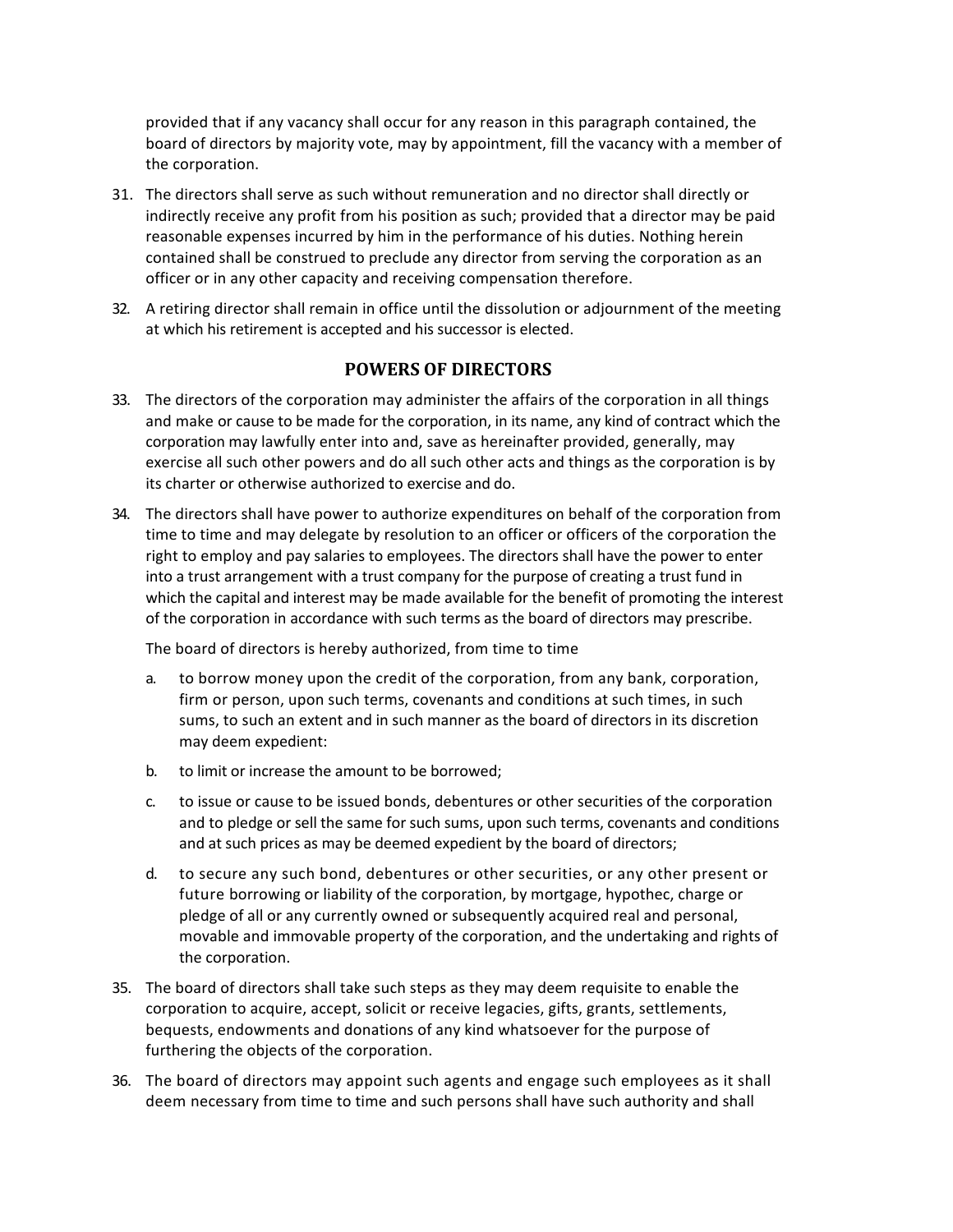provided that if any vacancy shall occur for any reason in this paragraph contained, the board of directors by majority vote, may by appointment, fill the vacancy with a member of the corporation.

- 31. The directors shall serve as such without remuneration and no director shall directly or indirectly receive any profit from his position as such; provided that a director may be paid reasonable expenses incurred by him in the performance of his duties. Nothing herein contained shall be construed to preclude any director from serving the corporation as an officer or in any other capacity and receiving compensation therefore.
- 32. A retiring director shall remain in office until the dissolution or adjournment of the meeting at which his retirement is accepted and his successor is elected.

# **POWERS'OF'DIRECTORS**

- 33. The directors of the corporation may administer the affairs of the corporation in all things and make or cause to be made for the corporation, in its name, any kind of contract which the corporation may lawfully enter into and, save as hereinafter provided, generally, may exercise all such other powers and do all such other acts and things as the corporation is by its charter or otherwise authorized to exercise and do.
- 34. The directors shall have power to authorize expenditures on behalf of the corporation from time to time and may delegate by resolution to an officer or officers of the corporation the right to employ and pay salaries to employees. The directors shall have the power to enter into a trust arrangement with a trust company for the purpose of creating a trust fund in which the capital and interest may be made available for the benefit of promoting the interest of the corporation in accordance with such terms as the board of directors may prescribe.

The board of directors is hereby authorized, from time to time

- a. to borrow money upon the credit of the corporation, from any bank, corporation, firm or person, upon such terms, covenants and conditions at such times, in such sums, to such an extent and in such manner as the board of directors in its discretion may deem expedient:
- b. to limit or increase the amount to be borrowed;
- c. to issue or cause to be issued bonds, debentures or other securities of the corporation and to pledge or sell the same for such sums, upon such terms, covenants and conditions and at such prices as may be deemed expedient by the board of directors;
- d. to secure any such bond, debentures or other securities, or any other present or future borrowing or liability of the corporation, by mortgage, hypothec, charge or pledge of all or any currently owned or subsequently acquired real and personal, movable and immovable property of the corporation, and the undertaking and rights of the corporation.
- 35. The board of directors shall take such steps as they may deem requisite to enable the corporation to acquire, accept, solicit or receive legacies, gifts, grants, settlements, bequests, endowments and donations of any kind whatsoever for the purpose of furthering the objects of the corporation.
- 36. The board of directors may appoint such agents and engage such employees as it shall deem necessary from time to time and such persons shall have such authority and shall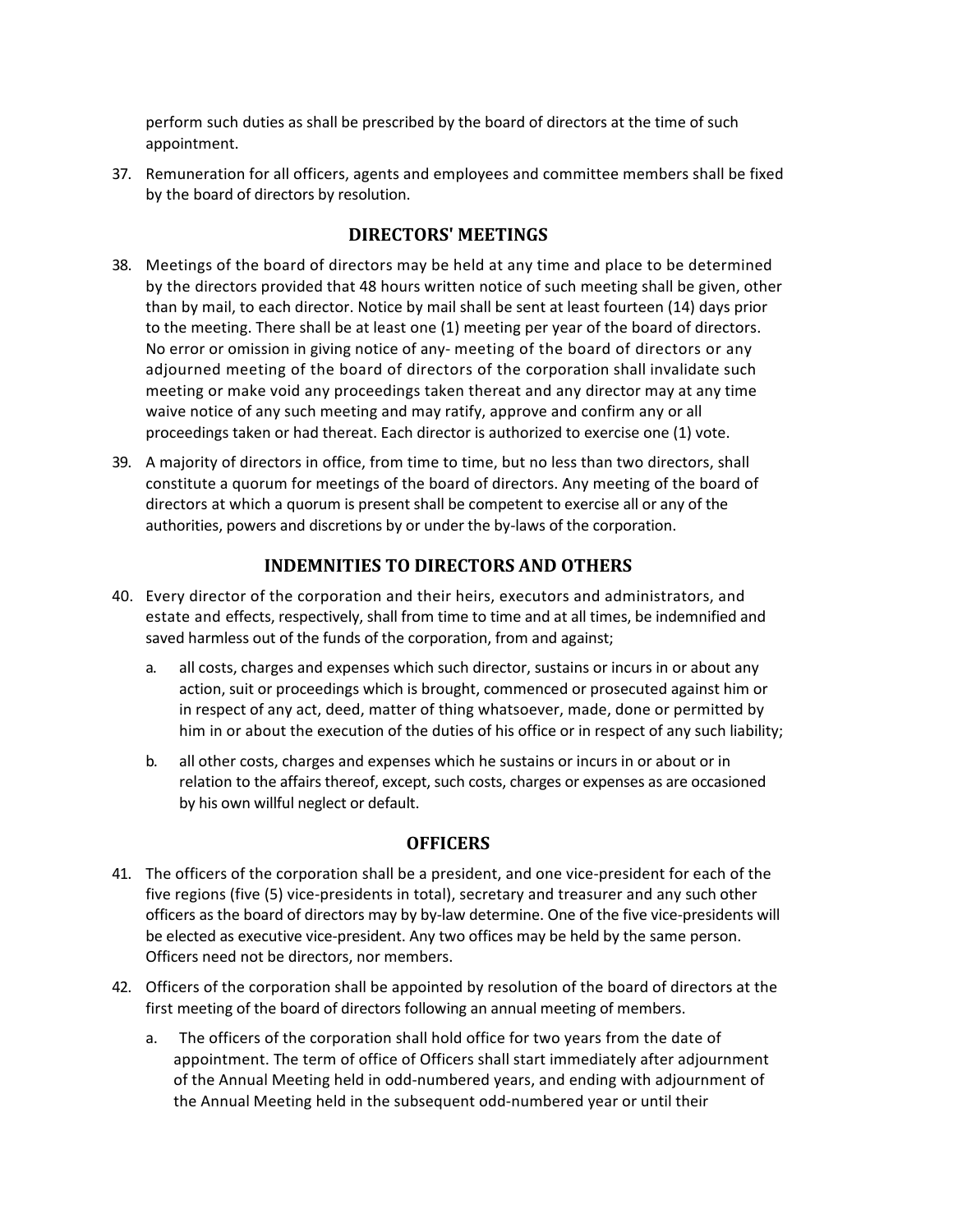perform such duties as shall be prescribed by the board of directors at the time of such appointment.

37. Remuneration for all officers, agents and employees and committee members shall be fixed by the board of directors by resolution.

# **DIRECTORS''MEETINGS**

- 38. Meetings of the board of directors may be held at any time and place to be determined by the directors provided that 48 hours written notice of such meeting shall be given, other than by mail, to each director. Notice by mail shall be sent at least fourteen (14) days prior to the meeting. There shall be at least one (1) meeting per year of the board of directors. No error or omission in giving notice of any- meeting of the board of directors or any adjourned meeting of the board of directors of the corporation shall invalidate such meeting or make void any proceedings taken thereat and any director may at any time waive notice of any such meeting and may ratify, approve and confirm any or all proceedings taken or had thereat. Each director is authorized to exercise one (1) vote.
- 39. A majority of directors in office, from time to time, but no less than two directors, shall constitute a quorum for meetings of the board of directors. Any meeting of the board of directors at which a quorum is present shall be competent to exercise all or any of the authorities, powers and discretions by or under the by-laws of the corporation.

# **INDEMNITIES TO DIRECTORS AND OTHERS**

- 40. Every director of the corporation and their heirs, executors and administrators, and estate and effects, respectively, shall from time to time and at all times, be indemnified and saved harmless out of the funds of the corporation, from and against;
	- a. all costs, charges and expenses which such director, sustains or incurs in or about any action, suit or proceedings which is brought, commenced or prosecuted against him or in respect of any act, deed, matter of thing whatsoever, made, done or permitted by him in or about the execution of the duties of his office or in respect of any such liability;
	- b. all other costs, charges and expenses which he sustains or incurs in or about or in relation to the affairs thereof, except, such costs, charges or expenses as are occasioned by his own willful neglect or default.

# **OFFICERS**

- 41. The officers of the corporation shall be a president, and one vice-president for each of the five regions (five (5) vice-presidents in total), secretary and treasurer and any such other officers as the board of directors may by by-law determine. One of the five vice-presidents will be elected as executive vice-president. Any two offices may be held by the same person. Officers need not be directors, nor members.
- 42. Officers of the corporation shall be appointed by resolution of the board of directors at the first meeting of the board of directors following an annual meeting of members.
	- a. The officers of the corporation shall hold office for two years from the date of appointment. The term of office of Officers shall start immediately after adjournment of the Annual Meeting held in odd-numbered years, and ending with adjournment of the Annual Meeting held in the subsequent odd-numbered year or until their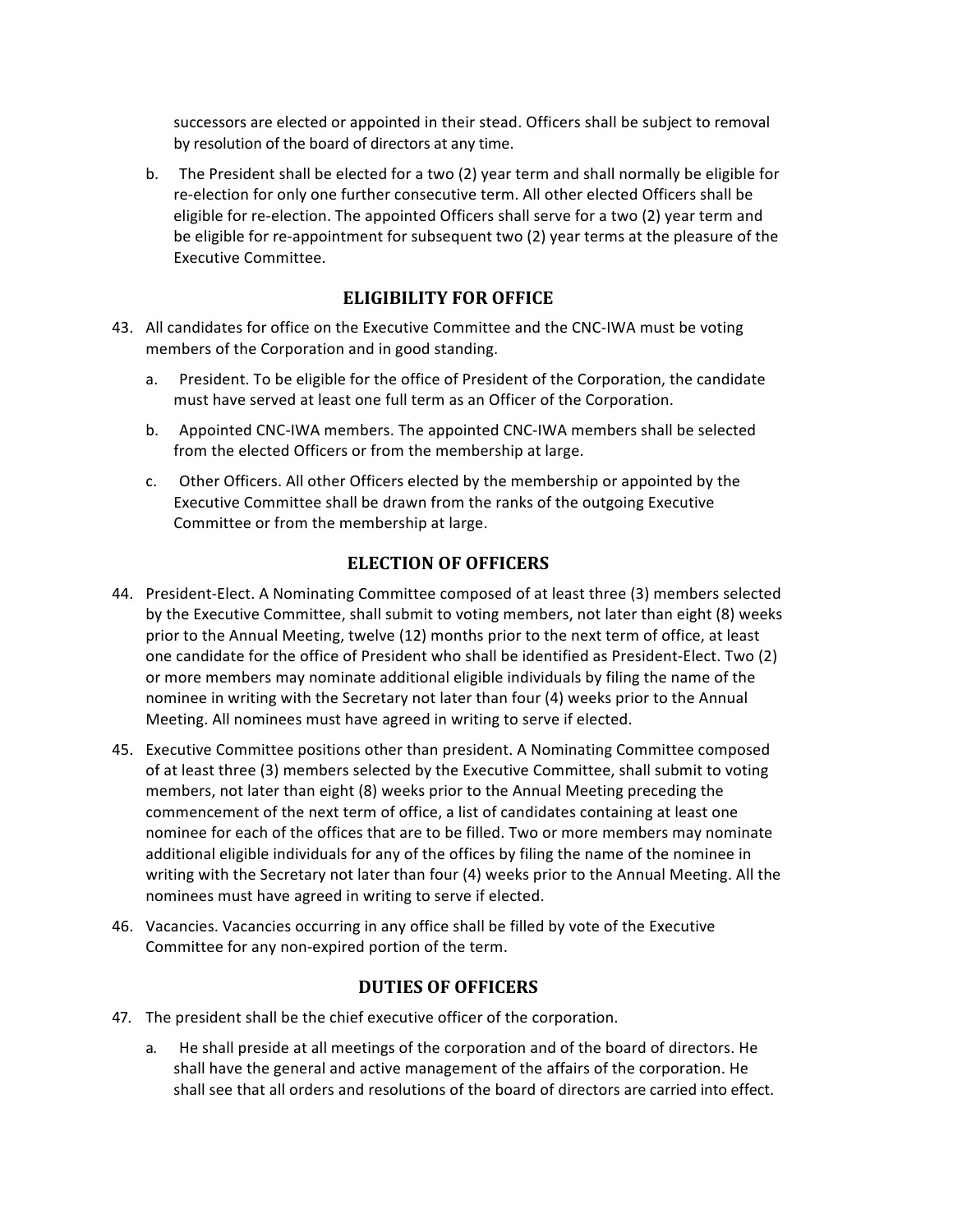successors are elected or appointed in their stead. Officers shall be subject to removal by resolution of the board of directors at any time.

b. The President shall be elected for a two (2) year term and shall normally be eligible for re-election for only one further consecutive term. All other elected Officers shall be eligible for re-election. The appointed Officers shall serve for a two (2) year term and be eligible for re-appointment for subsequent two (2) year terms at the pleasure of the Executive Committee.

# **ELIGIBILITY FOR OFFICE**

- 43. All candidates for office on the Executive Committee and the CNC-IWA must be voting members of the Corporation and in good standing.
	- a. President. To be eligible for the office of President of the Corporation, the candidate must have served at least one full term as an Officer of the Corporation.
	- b. Appointed CNC-IWA members. The appointed CNC-IWA members shall be selected from the elected Officers or from the membership at large.
	- c. Other Officers. All other Officers elected by the membership or appointed by the Executive Committee shall be drawn from the ranks of the outgoing Executive Committee or from the membership at large.

# **ELECTION'OF'OFFICERS**

- 44. President-Elect. A Nominating Committee composed of at least three (3) members selected by the Executive Committee, shall submit to voting members, not later than eight (8) weeks prior to the Annual Meeting, twelve (12) months prior to the next term of office, at least one candidate for the office of President who shall be identified as President-Elect. Two (2) or more members may nominate additional eligible individuals by filing the name of the nominee in writing with the Secretary not later than four (4) weeks prior to the Annual Meeting. All nominees must have agreed in writing to serve if elected.
- 45. Executive Committee positions other than president. A Nominating Committee composed of at least three (3) members selected by the Executive Committee, shall submit to voting members, not later than eight (8) weeks prior to the Annual Meeting preceding the commencement of the next term of office, a list of candidates containing at least one nominee for each of the offices that are to be filled. Two or more members may nominate additional eligible individuals for any of the offices by filing the name of the nominee in writing with the Secretary not later than four (4) weeks prior to the Annual Meeting. All the nominees must have agreed in writing to serve if elected.
- 46. Vacancies. Vacancies occurring in any office shall be filled by vote of the Executive Committee for any non-expired portion of the term.

#### **DUTIES'OF'OFFICERS**

- 47. The president shall be the chief executive officer of the corporation.
	- a. He shall preside at all meetings of the corporation and of the board of directors. He shall have the general and active management of the affairs of the corporation. He shall see that all orders and resolutions of the board of directors are carried into effect.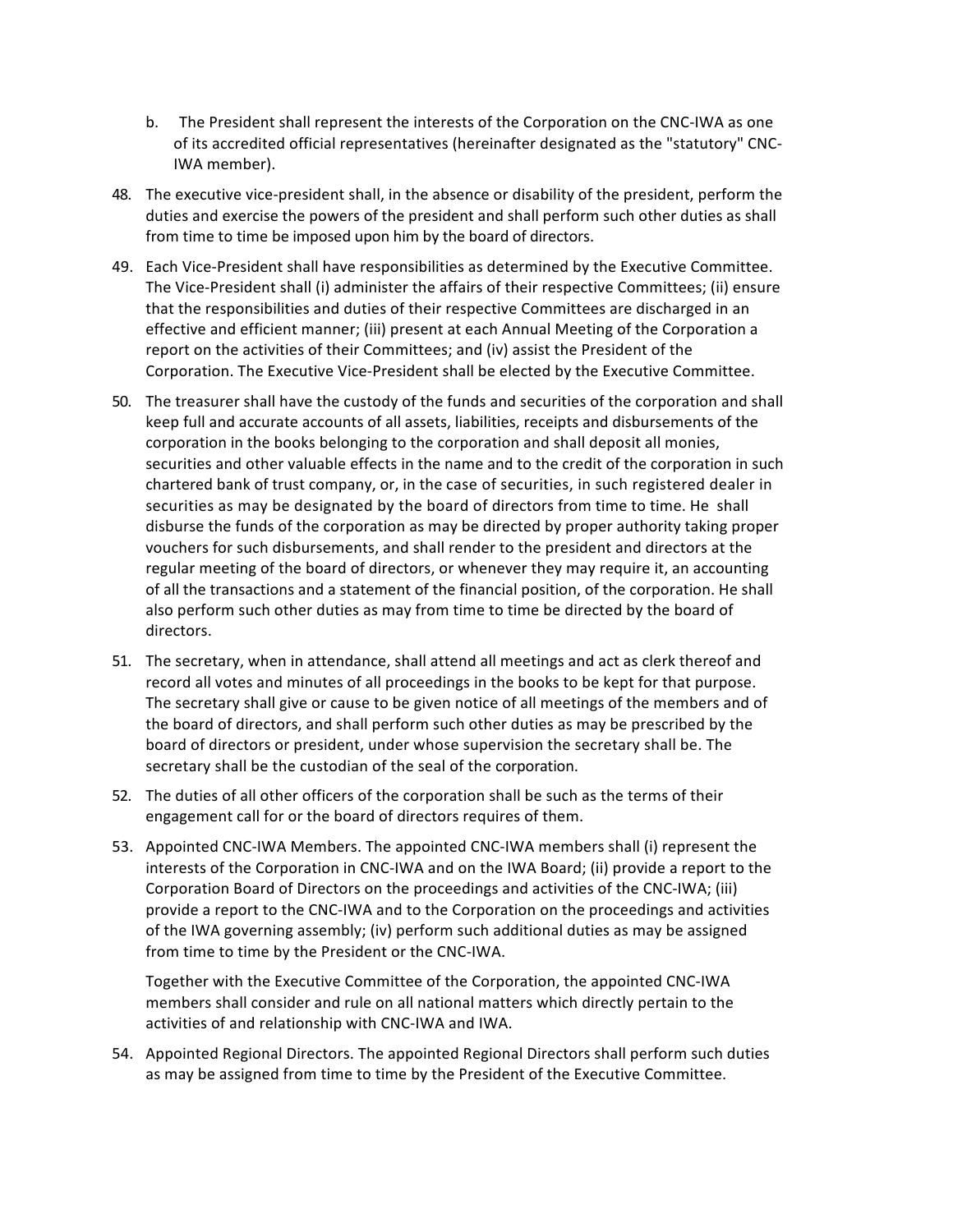- b. The President shall represent the interests of the Corporation on the CNC-IWA as one of its accredited official representatives (hereinafter designated as the "statutory" CNC-IWA member).
- 48. The executive vice-president shall, in the absence or disability of the president, perform the duties and exercise the powers of the president and shall perform such other duties as shall from time to time be imposed upon him by the board of directors.
- 49. Each Vice-President shall have responsibilities as determined by the Executive Committee. The Vice-President shall (i) administer the affairs of their respective Committees; (ii) ensure that the responsibilities and duties of their respective Committees are discharged in an effective and efficient manner; (iii) present at each Annual Meeting of the Corporation a report on the activities of their Committees; and (iv) assist the President of the Corporation. The Executive Vice-President shall be elected by the Executive Committee.
- 50. The treasurer shall have the custody of the funds and securities of the corporation and shall keep full and accurate accounts of all assets, liabilities, receipts and disbursements of the corporation in the books belonging to the corporation and shall deposit all monies, securities and other valuable effects in the name and to the credit of the corporation in such chartered bank of trust company, or, in the case of securities, in such registered dealer in securities as may be designated by the board of directors from time to time. He shall disburse the funds of the corporation as may be directed by proper authority taking proper vouchers for such disbursements, and shall render to the president and directors at the regular meeting of the board of directors, or whenever they may require it, an accounting of all the transactions and a statement of the financial position, of the corporation. He shall also perform such other duties as may from time to time be directed by the board of directors.
- 51. The secretary, when in attendance, shall attend all meetings and act as clerk thereof and record all votes and minutes of all proceedings in the books to be kept for that purpose. The secretary shall give or cause to be given notice of all meetings of the members and of the board of directors, and shall perform such other duties as may be prescribed by the board of directors or president, under whose supervision the secretary shall be. The secretary shall be the custodian of the seal of the corporation.
- 52. The duties of all other officers of the corporation shall be such as the terms of their engagement call for or the board of directors requires of them.
- 53. Appointed CNC-IWA Members. The appointed CNC-IWA members shall (i) represent the interests of the Corporation in CNC-IWA and on the IWA Board; (ii) provide a report to the Corporation Board of Directors on the proceedings and activities of the CNC-IWA; (iii) provide a report to the CNC-IWA and to the Corporation on the proceedings and activities of the IWA governing assembly; (iv) perform such additional duties as may be assigned from time to time by the President or the CNC-IWA.

Together with the Executive Committee of the Corporation, the appointed CNC-IWA members shall consider and rule on all national matters which directly pertain to the activities of and relationship with CNC-IWA and IWA.

54. Appointed Regional Directors. The appointed Regional Directors shall perform such duties as may be assigned from time to time by the President of the Executive Committee.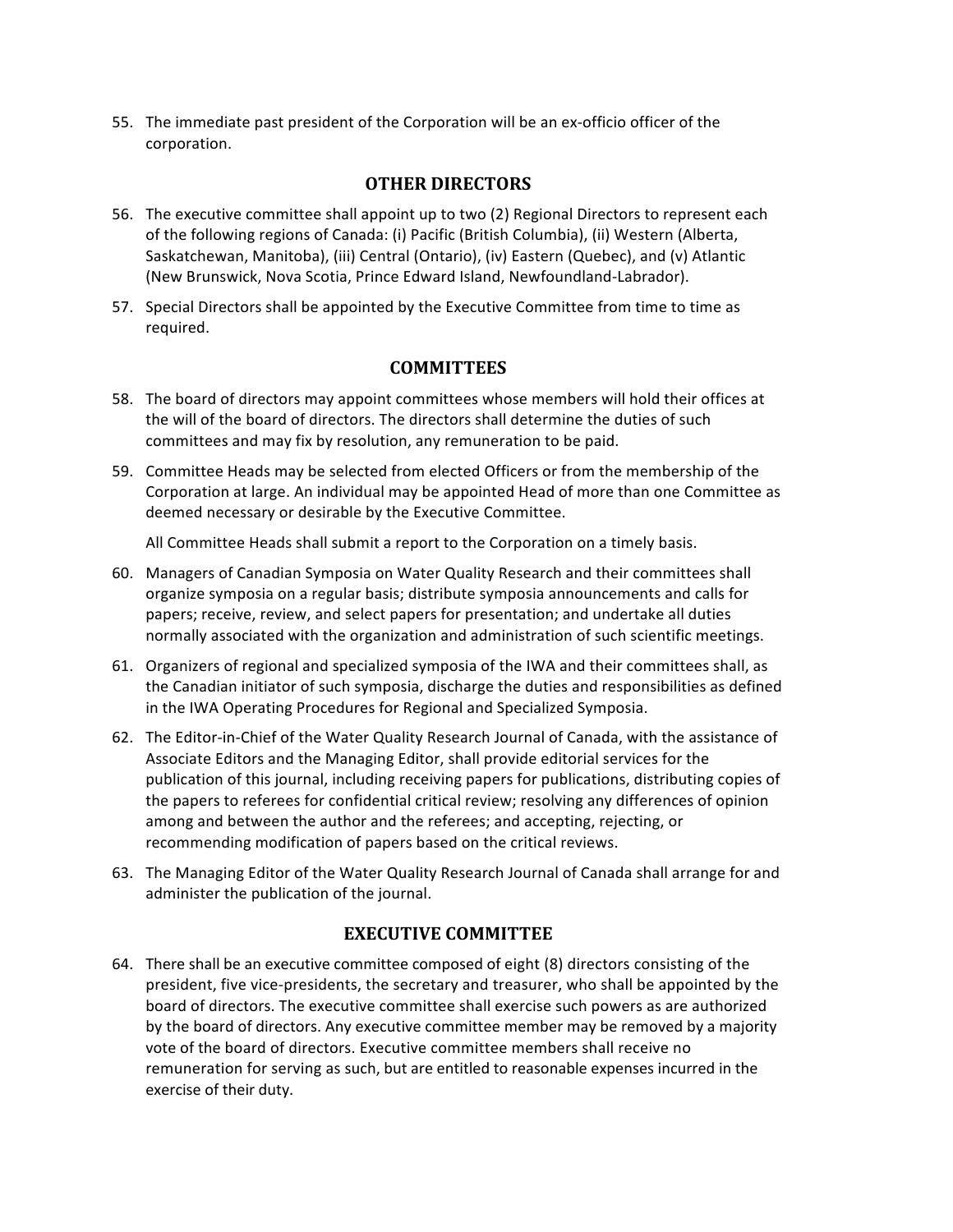55. The immediate past president of the Corporation will be an ex-officio officer of the corporation.

# **OTHER'DIRECTORS**

- 56. The executive committee shall appoint up to two (2) Regional Directors to represent each of the following regions of Canada: (i) Pacific (British Columbia), (ii) Western (Alberta, Saskatchewan, Manitoba), (iii) Central (Ontario), (iv) Eastern (Quebec), and (v) Atlantic (New Brunswick, Nova Scotia, Prince Edward Island, Newfoundland-Labrador).
- 57. Special Directors shall be appointed by the Executive Committee from time to time as required.

#### **COMMITTEES**

- 58. The board of directors may appoint committees whose members will hold their offices at the will of the board of directors. The directors shall determine the duties of such committees and may fix by resolution, any remuneration to be paid.
- 59. Committee Heads may be selected from elected Officers or from the membership of the Corporation at large. An individual may be appointed Head of more than one Committee as deemed necessary or desirable by the Executive Committee.

All Committee Heads shall submit a report to the Corporation on a timely basis.

- 60. Managers of Canadian Symposia on Water Quality Research and their committees shall organize symposia on a regular basis; distribute symposia announcements and calls for papers; receive, review, and select papers for presentation; and undertake all duties normally associated with the organization and administration of such scientific meetings.
- 61. Organizers of regional and specialized symposia of the IWA and their committees shall, as the Canadian initiator of such symposia, discharge the duties and responsibilities as defined in the IWA Operating Procedures for Regional and Specialized Symposia.
- 62. The Editor-in-Chief of the Water Quality Research Journal of Canada, with the assistance of Associate Editors and the Managing Editor, shall provide editorial services for the publication of this journal, including receiving papers for publications, distributing copies of the papers to referees for confidential critical review; resolving any differences of opinion among and between the author and the referees; and accepting, rejecting, or recommending modification of papers based on the critical reviews.
- 63. The Managing Editor of the Water Quality Research Journal of Canada shall arrange for and administer the publication of the journal.

#### **EXECUTIVE COMMITTEE**

64. There shall be an executive committee composed of eight (8) directors consisting of the president, five vice-presidents, the secretary and treasurer, who shall be appointed by the board of directors. The executive committee shall exercise such powers as are authorized by the board of directors. Any executive committee member may be removed by a majority vote of the board of directors. Executive committee members shall receive no remuneration for serving as such, but are entitled to reasonable expenses incurred in the exercise of their duty.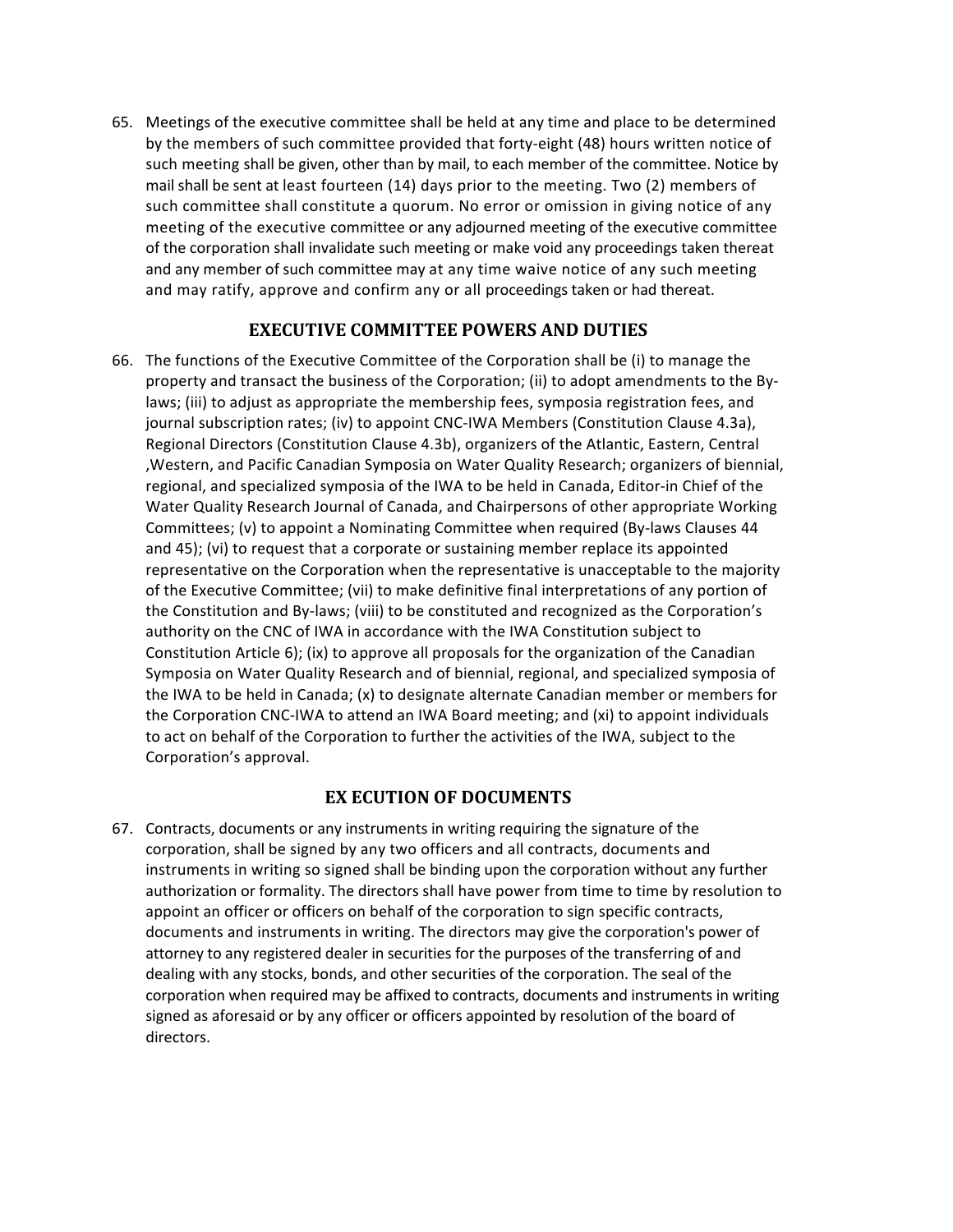65. Meetings of the executive committee shall be held at any time and place to be determined by the members of such committee provided that forty-eight (48) hours written notice of such meeting shall be given, other than by mail, to each member of the committee. Notice by mail shall be sent at least fourteen (14) days prior to the meeting. Two (2) members of such committee shall constitute a quorum. No error or omission in giving notice of any meeting of the executive committee or any adjourned meeting of the executive committee of the corporation shall invalidate such meeting or make void any proceedings taken thereat and any member of such committee may at any time waive notice of any such meeting and may ratify, approve and confirm any or all proceedings taken or had thereat.

# **EXECUTIVE COMMITTEE POWERS AND DUTIES**

66. The functions of the Executive Committee of the Corporation shall be (i) to manage the property and transact the business of the Corporation; (ii) to adopt amendments to the Bylaws; (iii) to adjust as appropriate the membership fees, symposia registration fees, and journal subscription rates; (iv) to appoint CNC-IWA Members (Constitution Clause 4.3a), Regional Directors (Constitution Clause 4.3b), organizers of the Atlantic, Eastern, Central ,Western, and Pacific Canadian Symposia on Water Quality Research; organizers of biennial, regional, and specialized symposia of the IWA to be held in Canada, Editor-in Chief of the Water Quality Research Journal of Canada, and Chairpersons of other appropriate Working Committees; (v) to appoint a Nominating Committee when required (By-laws Clauses 44" and 45); (vi) to request that a corporate or sustaining member replace its appointed representative on the Corporation when the representative is unacceptable to the majority of the Executive Committee; (vii) to make definitive final interpretations of any portion of the Constitution and By-laws; (viii) to be constituted and recognized as the Corporation's authority on the CNC of IWA in accordance with the IWA Constitution subject to Constitution Article 6); (ix) to approve all proposals for the organization of the Canadian Symposia on Water Quality Research and of biennial, regional, and specialized symposia of the IWA to be held in Canada; (x) to designate alternate Canadian member or members for the Corporation CNC-IWA to attend an IWA Board meeting; and (xi) to appoint individuals to act on behalf of the Corporation to further the activities of the IWA, subject to the Corporation's approval.

# **EX ECUTION OF DOCUMENTS**

67. Contracts, documents or any instruments in writing requiring the signature of the corporation, shall be signed by any two officers and all contracts, documents and instruments in writing so signed shall be binding upon the corporation without any further authorization or formality. The directors shall have power from time to time by resolution to appoint an officer or officers on behalf of the corporation to sign specific contracts, documents and instruments in writing. The directors may give the corporation's power of attorney to any registered dealer in securities for the purposes of the transferring of and dealing with any stocks, bonds, and other securities of the corporation. The seal of the corporation when required may be affixed to contracts, documents and instruments in writing signed as aforesaid or by any officer or officers appointed by resolution of the board of directors.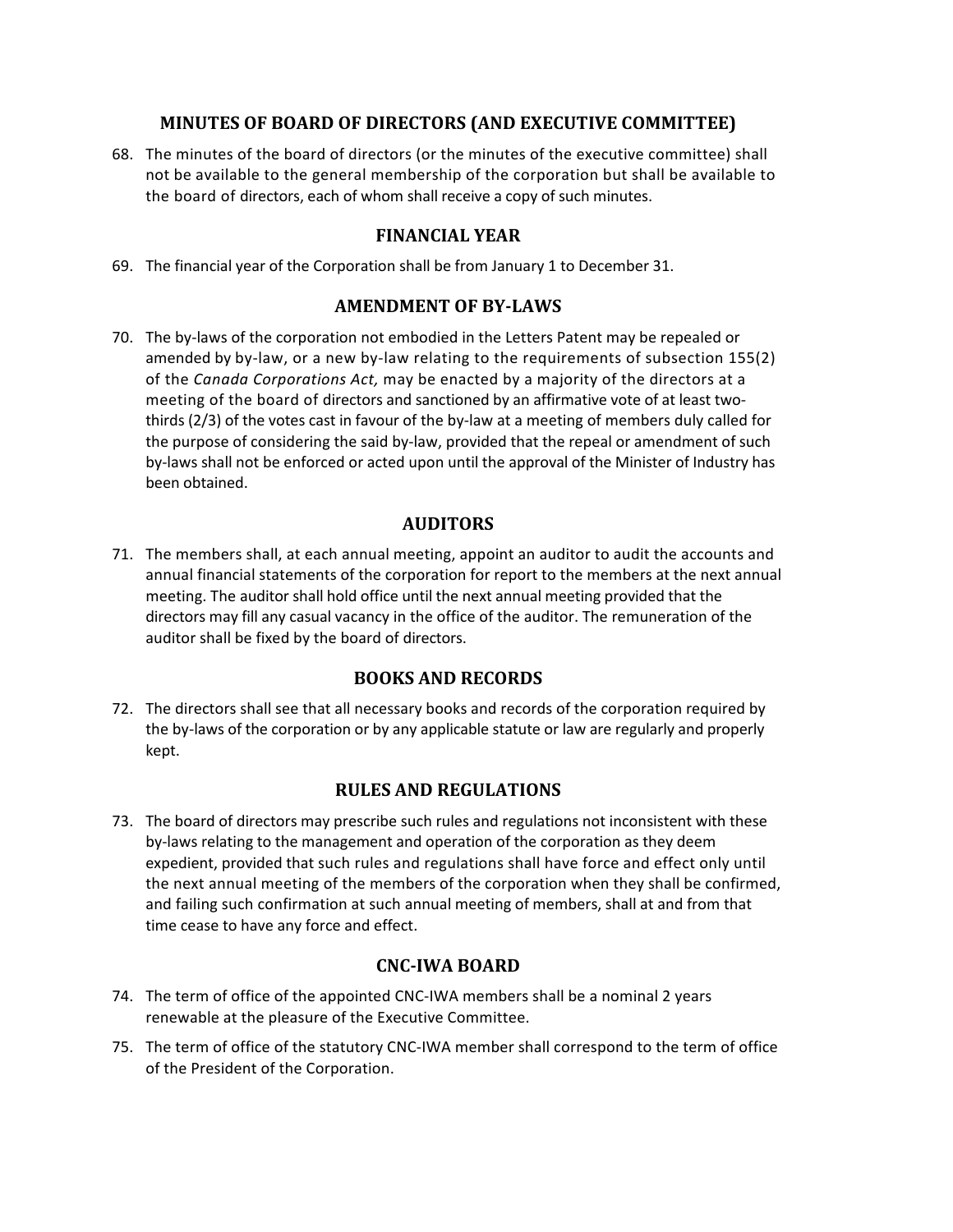# **MINUTES'OF'BOARD'OF'DIRECTORS'(AND'EXECUTIVE'COMMITTEE)**

68. The minutes of the board of directors (or the minutes of the executive committee) shall not be available to the general membership of the corporation but shall be available to the board of directors, each of whom shall receive a copy of such minutes.

# **FINANCIAL'YEAR**

69. The financial year of the Corporation shall be from January 1 to December 31.

# **AMENDMENT OF BY-LAWS**

70. The by-laws of the corporation not embodied in the Letters Patent may be repealed or amended by by-law, or a new by-law relating to the requirements of subsection 155(2) of the *Canada Corporations Act*, may be enacted by a majority of the directors at a meeting of the board of directors and sanctioned by an affirmative vote of at least twothirds (2/3) of the votes cast in favour of the by-law at a meeting of members duly called for the purpose of considering the said by-law, provided that the repeal or amendment of such by-laws shall not be enforced or acted upon until the approval of the Minister of Industry has been obtained.

# **AUDITORS**

71. The members shall, at each annual meeting, appoint an auditor to audit the accounts and annual financial statements of the corporation for report to the members at the next annual meeting. The auditor shall hold office until the next annual meeting provided that the directors may fill any casual vacancy in the office of the auditor. The remuneration of the auditor shall be fixed by the board of directors.

#### **BOOKS'AND'RECORDS**

72. The directors shall see that all necessary books and records of the corporation required by the by-laws of the corporation or by any applicable statute or law are regularly and properly kept.

# RULES AND REGULATIONS

73. The board of directors may prescribe such rules and regulations not inconsistent with these by-laws relating to the management and operation of the corporation as they deem expedient, provided that such rules and regulations shall have force and effect only until the next annual meeting of the members of the corporation when they shall be confirmed, and failing such confirmation at such annual meeting of members, shall at and from that time cease to have any force and effect.

# **CNC#IWA'BOARD**

- 74. The term of office of the appointed CNC-IWA members shall be a nominal 2 years renewable at the pleasure of the Executive Committee.
- 75. The term of office of the statutory CNC-IWA member shall correspond to the term of office of the President of the Corporation.